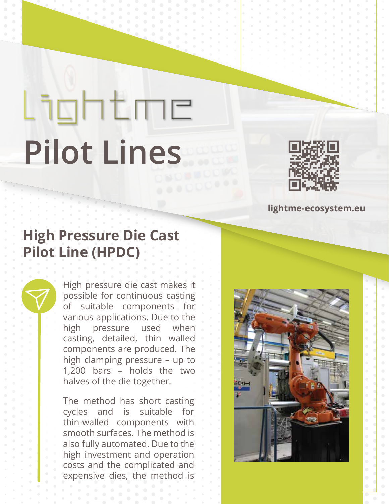## Lightme **Pilot Lines**



## **lightme-ecosystem.eu**

## **High Pressure Die Cast Pilot Line (HPDC)**

High pressure die cast makes it possible for continuous casting of suitable components for various applications. Due to the high pressure used when casting, detailed, thin walled components are produced. The high clamping pressure – up to 1,200 bars – holds the two halves of the die together.

The method has short casting cycles and is suitable for thin-walled components with smooth surfaces. The method is also fully automated. Due to the high investment and operation costs and the complicated and expensive dies, the method is